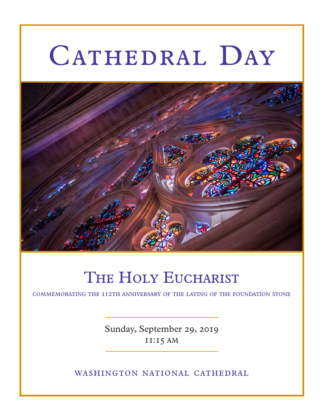# CATHEDRAL DAY



## THE HOLY EUCHARIST

commemorating the 112th anniversary of the laying of the foundation stone

Sunday, September 29, 2019 11:15 am

WASHINGTON NATIONAL CATHEDRAL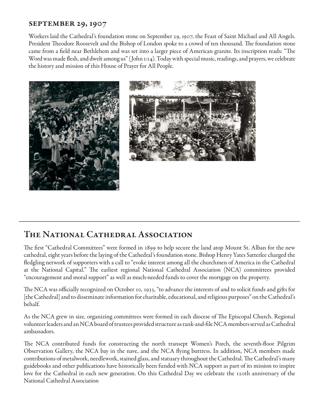#### september 29, 1907

Workers laid the Cathedral's foundation stone on September 29, 1907, the Feast of Saint Michael and All Angels. President Theodore Roosevelt and the Bishop of London spoke to a crowd of ten thousand. The foundation stone came from a field near Bethlehem and was set into a larger piece of American granite. Its inscription reads: "The Word was made flesh, and dwelt among us" (John 1:14). Today with special music, readings, and prayers, we celebrate the history and mission of this House of Prayer for All People.



#### The National Cathedral Association

The first "Cathedral Committees" were formed in 1899 to help secure the land atop Mount St. Alban for the new cathedral, eight years before the laying of the Cathedral's foundation stone. Bishop Henry Yates Satterlee charged the fledgling network of supporters with a call to "evoke interest among all the churchmen of America in the Cathedral at the National Capital." The earliest regional National Cathedral Association (NCA) committees provided "encouragement and moral support" as well as much-needed funds to cover the mortgage on the property.

The NCA was officially recognized on October 10, 1933, "to advance the interests of and to solicit funds and gifts for [the Cathedral] and to disseminate information for charitable, educational, and religious purposes" on the Cathedral's behalf.

As the NCA grew in size, organizing committees were formed in each diocese of The Episcopal Church. Regional volunteer leaders and an NCA board of trustees provided structure as rank-and-file NCA members served as Cathedral ambassadors.

The NCA contributed funds for constructing the north transept Women's Porch, the seventh-floor Pilgrim Observation Gallery, the NCA bay in the nave, and the NCA flying buttress. In addition, NCA members made contributions of metalwork, needlework, stained glass, and statuary throughout the Cathedral. The Cathedral's many guidebooks and other publications have historically been funded with NCA support as part of its mission to inspire love for the Cathedral in each new generation. On this Cathedral Day we celebrate the 120th anniversary of the National Cathedral Association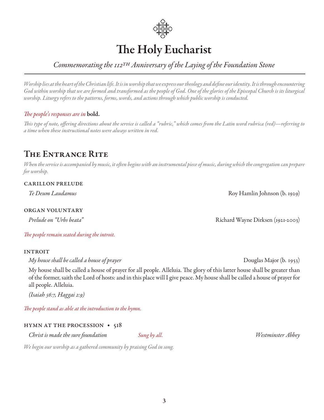

The Holy Eucharist

#### *Commemorating the 112thAnniversary of the Laying of the Foundation Stone*

*Worship lies at the heart of the Christian life. It is in worship that we express our theology and define our identity. It is through encountering God within worship that we are formed and transformed as the people of God. One of the glories of the Episcopal Church is its liturgical worship. Liturgy refers to the patterns, forms, words, and actions through which public worship is conducted.* 

#### *The people's responses are in* bold.

*This type of note, offering directions about the service is called a "rubric," which comes from the Latin word rubrica (red)—referring to a time when these instructional notes were always written in red.*

### The Entrance Rite

*When the service is accompanied by music, it often begins with an instrumental piece of music, during which the congregation can prepare for worship.*

#### carillon prelude

*Te Deum Laudamus* Roy Hamlin Johnson (b. 1929)

#### organ voluntary

*Prelude on "Urbs beata"*  $\Box$  **Richard Wayne Dirksen** (1921-2003)

*The people remain seated during the introit.* 

#### **INTROIT**

*My house shall be called a house of prayer*  $\qquad \qquad \qquad$  Douglas Major (b. 1953)

My house shall be called a house of prayer for all people. Alleluia. The glory of this latter house shall be greater than of the former, saith the Lord of hosts: and in this place will I give peace. My house shall be called a house of prayer for all people. Alleluia.

*(Isaiah 56:7, Haggai 2:9)*

*The people stand as able at the introduction to the hymn.* 

#### hymn at the procession • 518

*Christ is made the sure foundation Sung by all. Westminster Abbey* 

*We begin our worship as a gathered community by praising God in song.*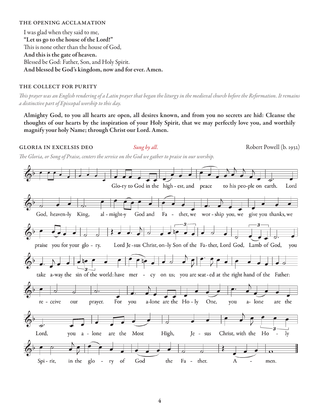#### the opening acclamation

I was glad when they said to me, "Let us go to the house of the Lord!" This is none other than the house of God, And this is the gate of heaven. Blessed be God: Father, Son, and Holy Spirit. And blessed be God's kingdom, now and for ever. Amen.

#### THE COLLECT FOR PURITY

*This prayer was an English rendering of a Latin prayer that began the liturgy in the medieval church before the Reformation. It remains a distinctive part of Episcopal worship to this day.*

Almighty God, to you all hearts are open, all desires known, and from you no secrets are hid: Cleanse the thoughts of our hearts by the inspiration of your Holy Spirit, that we may perfectly love you, and worthily magnify your holy Name; through Christ our Lord. Amen.

GLORIA IN EXCELSIS DEO *Sung by all.* Robert Powell (b. 1932)

*The Gloria, or Song of Praise, centers the service on the God we gather to praise in our worship.*

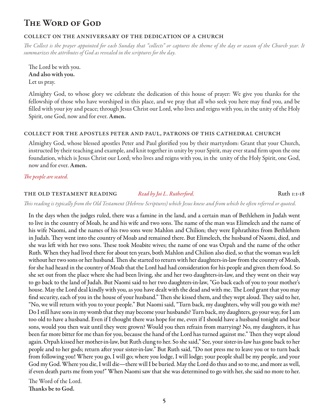## THE WORD OF GOD

#### collect on the anniversary of the dedication of a church

*The Collect is the prayer appointed for each Sunday that "collects" or captures the theme of the day or season of the Church year. It summarizes the attributes of God as revealed in the scriptures for the day.*

The Lord be with you. And also with you. Let us pray.

Almighty God, to whose glory we celebrate the dedication of this house of prayer: We give you thanks for the fellowship of those who have worshiped in this place, and we pray that all who seek you here may find you, and be filled with your joy and peace; through Jesus Christ our Lord, who lives and reigns with you, in the unity of the Holy Spirit, one God, now and for ever. Amen.

#### collect for the apostles peter and paul, patrons of this cathedral church

Almighty God, whose blessed apostles Peter and Paul glorified you by their martyrdom: Grant that your Church, instructed by their teaching and example, and knit together in unity by your Spirit, may ever stand firm upon the one foundation, which is Jesus Christ our Lord; who lives and reigns with you, in the unity of the Holy Spirit, one God, now and for ever. Amen.

#### *The people are seated.*

#### THE OLD TESTAMENT READING *Read by Joi L. Rutherford.* **Ruth 1:1-18** Ruth 1:1-18

#### *This reading is typically from the Old Testament (Hebrew Scriptures) which Jesus knew and from which he often referred or quoted.*

In the days when the judges ruled, there was a famine in the land, and a certain man of Bethlehem in Judah went to live in the country of Moab, he and his wife and two sons. The name of the man was Elimelech and the name of his wife Naomi, and the names of his two sons were Mahlon and Chilion; they were Ephrathites from Bethlehem in Judah. They went into the country of Moab and remained there. But Elimelech, the husband of Naomi, died, and she was left with her two sons. These took Moabite wives; the name of one was Orpah and the name of the other Ruth. When they had lived there for about ten years, both Mahlon and Chilion also died, so that the woman was left without her two sons or her husband. Then she started to return with her daughters-in-law from the country of Moab, for she had heard in the country of Moab that the Lord had had consideration for his people and given them food. So she set out from the place where she had been living, she and her two daughters-in-law, and they went on their way to go back to the land of Judah. But Naomi said to her two daughters-in-law, "Go back each of you to your mother's house. May the Lord deal kindly with you, as you have dealt with the dead and with me. The Lord grant that you may find security, each of you in the house of your husband." Then she kissed them, and they wept aloud. They said to her, "No, we will return with you to your people." But Naomi said, "Turn back, my daughters, why will you go with me? Do I still have sons in my womb that they may become your husbands? Turn back, my daughters, go your way, for I am too old to have a husband. Even if I thought there was hope for me, even if I should have a husband tonight and bear sons, would you then wait until they were grown? Would you then refrain from marrying? No, my daughters, it has been far more bitter for me than for you, because the hand of the Lord has turned against me." Then they wept aloud again. Orpah kissed her mother-in-law, but Ruth clung to her. So she said," See, your sister-in-law has gone back to her people and to her gods; return after your sister-in-law." But Ruth said, "Do not press me to leave you or to turn back from following you! Where you go, I will go; where you lodge, I will lodge; your people shall be my people, and your God my God. Where you die, I will die—there will I be buried. May the Lord do thus and so to me, and more as well, if even death parts me from you!" When Naomi saw that she was determined to go with her, she said no more to her.

The Word of the Lord. Thanks be to God.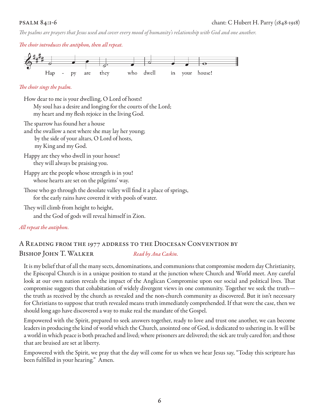*The psalms are prayers that Jesus used and cover every mood of humanity's relationship with God and one another.*

*The choir introduces the antiphon, then all repeat.*



#### *The choir sings the psalm.*

How dear to me is your dwelling, O Lord of hosts! My soul has a desire and longing for the courts of the Lord; my heart and my flesh rejoice in the living God.

The sparrow has found her a house

and the swallow a nest where she may lay her young; by the side of your altars, O Lord of hosts, my King and my God.

Happy are they who dwell in your house! they will always be praising you.

Happy are the people whose strength is in you! whose hearts are set on the pilgrims' way.

Those who go through the desolate valley will find it a place of springs, for the early rains have covered it with pools of water.

They will climb from height to height,

and the God of gods will reveal himself in Zion.

*All repeat the antiphon.* 

#### A Reading from the 1977 address to the Diocesan Convention by BISHOP JOHN T. WALKER *Read by Ana Caskin.*

It is my belief that of all the many sects, denominations, and communions that compromise modern day Christianity, the Episcopal Church is in a unique position to stand at the junction where Church and World meet. Any careful look at our own nation reveals the impact of the Anglican Compromise upon our social and political lives. That compromise suggests that cohabitation of widely divergent views in one community. Together we seek the truth the truth as received by the church as revealed and the non-church community as discovered. But it isn't necessary for Christians to suppose that truth revealed means truth immediately comprehended. If that were the case, then we should long ago have discovered a way to make real the mandate of the Gospel.

Empowered with the Spirit, prepared to seek answers together, ready to love and trust one another, we can become leaders in producing the kind of world which the Church, anointed one of God, is dedicated to ushering in. It will be a world in which peace is both preached and lived; where prisoners are delivered; the sick are truly cared for; and those that are bruised are set at liberty.

Empowered with the Spirit, we pray that the day will come for us when we hear Jesus say, "Today this scripture has been fulfilled in your hearing." Amen.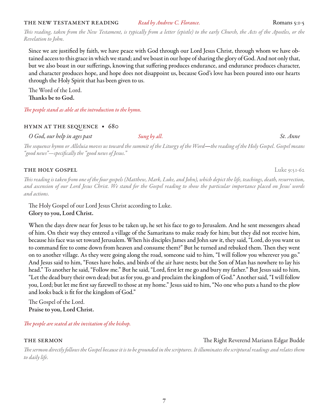#### THE NEW TESTAMENT READING *Read by Andrew C. Florance.* Romans 5:1-5

*This reading, taken from the New Testament, is typically from a letter (epistle) to the early Church, the Acts of the Apostles, or the Revelation to John.*

Since we are justified by faith, we have peace with God through our Lord Jesus Christ, through whom we have obtained access to this grace in which we stand; and we boast in our hope of sharing the glory of God. And not only that, but we also boast in our sufferings, knowing that suffering produces endurance, and endurance produces character, and character produces hope, and hope does not disappoint us, because God's love has been poured into our hearts through the Holy Spirit that has been given to us.

The Word of the Lord. Thanks be to God.

*The people stand as able at the introduction to the hymn.* 

#### hymn at the sequence • 680

*O God, our help in ages past Sung by all. St. Anne* 

*The sequence hymn or Alleluia moves us toward the summit of the Liturgy of the Word*—*the reading of the Holy Gospel. Gospel means "good news"—specifically the "good news of Jesus."* 

#### **THE HOLY GOSPEL** Luke 9:51-62

*This reading is taken from one of the four gospels (Matthew, Mark, Luke, and John), which depict the life, teachings, death, resurrection, and ascension of our Lord Jesus Christ. We stand for the Gospel reading to show the particular importance placed on Jesus' words and actions.*

The Holy Gospel of our Lord Jesus Christ according to Luke. Glory to you, Lord Christ.

When the days drew near for Jesus to be taken up, he set his face to go to Jerusalem. And he sent messengers ahead of him. On their way they entered a village of the Samaritans to make ready for him; but they did not receive him, because his face was set toward Jerusalem. When his disciples James and John saw it, they said, "Lord, do you want us to command fire to come down from heaven and consume them?" But he turned and rebuked them. Then they went on to another village. As they were going along the road, someone said to him, "I will follow you wherever you go." And Jesus said to him, "Foxes have holes, and birds of the air have nests; but the Son of Man has nowhere to lay his head." To another he said, "Follow me." But he said, "Lord, first let me go and bury my father." But Jesus said to him, "Let the dead bury their own dead; but as for you, go and proclaim the kingdom of God." Another said, "I will follow you, Lord; but let me first say farewell to those at my home." Jesus said to him, "No one who puts a hand to the plow and looks back is fit for the kingdom of God."

The Gospel of the Lord. Praise to you, Lord Christ.

*The people are seated at the invitation of the bishop.*

THE SERMON GERMON CONSERVERSE SERMON THE SERMON

*The sermon directly follows the Gospel because it is to be grounded in the scriptures. It illuminates the scriptural readings and relates them to daily life.*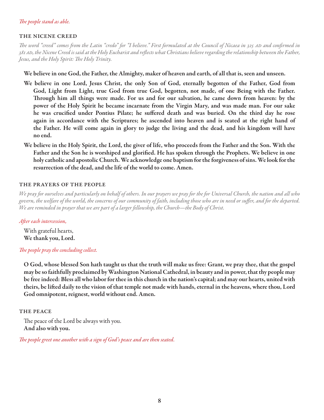#### *The people stand as able.*

#### the nicene creed

The word "creed" comes from the Latin "credo" for "I believe." First formulated at the Council of Nicaea in 325 AD and confirmed in *381ad, the Nicene Creed is said at the Holy Eucharist and reflects what Christians believe regarding the relationship between the Father, Jesus, and the Holy Spirit: The Holy Trinity.*

We believe in one God, the Father, the Almighty, maker of heaven and earth, of all that is, seen and unseen.

- We believe in one Lord, Jesus Christ, the only Son of God, eternally begotten of the Father, God from God, Light from Light, true God from true God, begotten, not made, of one Being with the Father. Through him all things were made. For us and for our salvation, he came down from heaven: by the power of the Holy Spirit he became incarnate from the Virgin Mary, and was made man. For our sake he was crucified under Pontius Pilate; he suffered death and was buried. On the third day he rose again in accordance with the Scriptures; he ascended into heaven and is seated at the right hand of the Father. He will come again in glory to judge the living and the dead, and his kingdom will have no end.
- We believe in the Holy Spirit, the Lord, the giver of life, who proceeds from the Father and the Son. With the Father and the Son he is worshiped and glorified. He has spoken through the Prophets. We believe in one holy catholic and apostolic Church. We acknowledge one baptism for the forgiveness of sins. We look for the resurrection of the dead, and the life of the world to come. Amen.

#### the prayers of the people

*We pray for ourselves and particularly on behalf of others. In our prayers we pray for the for Universal Church, the nation and all who govern, the welfare of the world, the concerns of our community of faith, including those who are in need or suffer, and for the departed. We are reminded in prayer that we are part of a larger fellowship, the Church—the Body of Christ.*

#### *After each intercession,*

With grateful hearts, We thank you, Lord.

#### *The people pray the concluding collect.*

O God, whose blessed Son hath taught us that the truth will make us free: Grant, we pray thee, that the gospel may be so faithfully proclaimed by Washington National Cathedral, in beauty and in power, that thy people may be free indeed: Bless all who labor for thee in this church in the nation's capital; and may our hearts, united with theirs, be lifted daily to the vision of that temple not made with hands, eternal in the heavens, where thou, Lord God omnipotent, reignest, world without end. Amen.

#### THE PEACE

The peace of the Lord be always with you. And also with you.

*The people greet one another with a sign of God's peace and are then seated.*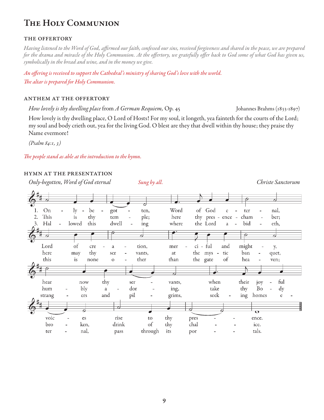## The Holy Communion

#### the offertory

*Having listened to the Word of God, affirmed our faith, confessed our sins, received forgiveness and shared in the peace, we are prepared for the drama and miracle of the Holy Communion. At the offertory, we gratefully offer back to God some of what God has given us, symbolically in the bread and wine, and in the money we give.* 

*An offering is received to support the Cathedral's ministry of sharing God's love with the world. The altar is prepared for Holy Communion.*

#### anthem at the offertory

*How lovely is thy dwelling place* from *A German Requiem*, Op. 45 Johannes Brahms (1833-1897)

How lovely is thy dwelling place, O Lord of Hosts! For my soul, it longeth, yea fainteth for the courts of the Lord; my soul and body crieth out, yea for the living God. O blest are they that dwell within thy house; they praise thy Name evermore!

*(Psalm 84:1, 3)*

*The people stand as able at the introduction to the hymn.* 

#### hymn at the presentation

*Only-begotten, Word of God eternal Sung by all. Christe Sanctorum*

|          |              |                       |                                |              |                          |              |                                                 |          |                                  |              |                          | ↗                                     |  |
|----------|--------------|-----------------------|--------------------------------|--------------|--------------------------|--------------|-------------------------------------------------|----------|----------------------------------|--------------|--------------------------|---------------------------------------|--|
|          | On           | Iy.                   | be<br>$\overline{\phantom{a}}$ | got          |                          | ten,         | Word                                            |          | of God<br>e                      | ter          |                          | nal,                                  |  |
| 2.       | This         | is                    | thy                            | tem          | Ξ.                       | ple;         | here                                            |          | thy pres - ence - cham           |              | $\overline{\phantom{a}}$ | ber;                                  |  |
| 3.       | Hal          | lowed<br>$\equiv$     | this                           | dwell        | $\overline{\phantom{m}}$ | ing          | where                                           |          | the Lord                         | bid<br>$a -$ | $\overline{\phantom{0}}$ | eth,                                  |  |
|          |              |                       |                                |              |                          | ♂            | $\bullet$ $\dot{\hspace{1ex}\cdot\hspace{1ex}}$ |          |                                  | $\circ$      |                          | ♂                                     |  |
|          | Lord         | of                    | cre                            | a            |                          | tion,        | mer                                             | ci - ful | and                              | might        |                          | у,                                    |  |
|          | here         | may                   | thy                            | ser          |                          | vants,       | at                                              |          | the mys -<br>tic                 | ban          |                          | quet,                                 |  |
|          | this         | is                    | none                           | $\mathbf{O}$ |                          | ther         | than                                            | the gate | $\sigma$                         | hea          |                          | ven;                                  |  |
|          |              |                       |                                |              |                          |              |                                                 |          |                                  |              |                          |                                       |  |
| $\omega$ | $\mathcal O$ |                       |                                |              |                          |              |                                                 |          |                                  |              |                          |                                       |  |
|          |              |                       |                                |              |                          |              |                                                 |          |                                  |              |                          |                                       |  |
|          | hear         | now                   |                                | thy          | ser                      |              | vants,                                          |          | when                             | their        | joy                      | ful                                   |  |
|          | hum          | bly                   |                                | $\mathbf{a}$ | dor                      |              | ing,                                            |          | take                             | thy          | Bo                       | $\rm{d}v$<br>$\overline{\phantom{a}}$ |  |
|          |              |                       |                                |              |                          |              |                                                 |          |                                  |              |                          |                                       |  |
|          |              | ers<br>$\blacksquare$ |                                | and          |                          |              | grims,                                          |          | seek<br>$\overline{\phantom{0}}$ |              | homes                    | $\mathbf c$                           |  |
|          | strang       |                       |                                |              | pil                      |              |                                                 |          |                                  | ing          |                          |                                       |  |
|          |              |                       |                                | 77           |                          |              |                                                 |          |                                  |              |                          |                                       |  |
|          |              | A                     |                                |              |                          |              |                                                 | ╭        |                                  |              | $\overline{\mathbf{O}}$  |                                       |  |
|          | voic         | es                    |                                | rise         |                          | $\mathbf{t}$ | thy                                             | pres     |                                  |              | ence.                    |                                       |  |
|          | bro          |                       | ken,                           | drink        |                          | $\circ f$    | thy                                             | chal     |                                  |              | ice.                     |                                       |  |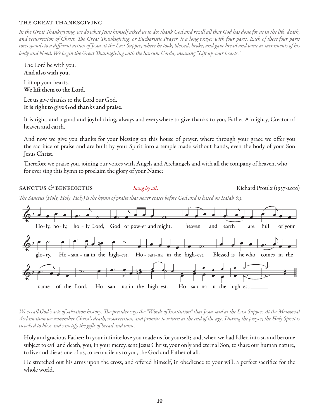#### the great thanksgiving

*In the Great Thanksgiving, we do what Jesus himself asked us to do: thank God and recall all that God has done for us in the life, death, and resurrection of Christ. The Great Thanksgiving, or Eucharistic Prayer, is a long prayer with four parts. Each of these four parts corresponds to a different action of Jesus at the Last Supper, where he took, blessed, broke, and gave bread and wine as sacraments of his body and blood. We begin the Great Thanksgiving with the Sursum Corda, meaning "Lift up your hearts."* 

The Lord be with you. And also with you.

Lift up your hearts. We lift them to the Lord.

Let us give thanks to the Lord our God. It is right to give God thanks and praise.

It is right, and a good and joyful thing, always and everywhere to give thanks to you, Father Almighty, Creator of heaven and earth.

And now we give you thanks for your blessing on this house of prayer, where through your grace we offer you the sacrifice of praise and are built by your Spirit into a temple made without hands, even the body of your Son Jesus Christ.

Therefore we praise you, joining our voices with Angels and Archangels and with all the company of heaven, who for ever sing this hymn to proclaim the glory of your Name:

#### SANCTUS & BENEDICTUS *Sung by all.* Richard Proulx (1937-2010) *The Sanctus (Holy, Holy, Holy) is the hymn of praise that never ceases before God and is based on Isaiah 6:3.* Ho-ly, ho-ly, ho-ly Lord, God of pow-er and might, heaven and earth full of your are Ho - san - na in the high-est. Ho-san-na in the high-est. Blessed is he who comes in the glo-ry. of the Lord. Ho - san - na in the high-est. Ho-san-na in the high est. name

*We recall God's acts of salvation history. The presider says the "Words of Institution" that Jesus said at the Last Supper. At the Memorial Acclamation we remember Christ's death, resurrection, and promise to return at the end of the age. During the prayer, the Holy Spirit is invoked to bless and sanctify the gifts of bread and wine.*

Holy and gracious Father: In your infinite love you made us for yourself; and, when we had fallen into sn and become subject to evil and death, you, in your mercy, sent Jesus Christ, your only and eternal Son, to share our human nature, to live and die as one of us, to reconcile us to you, the God and Father of all.

He stretched out his arms upon the cross, and offered himself, in obedience to your will, a perfect sacrifice for the whole world.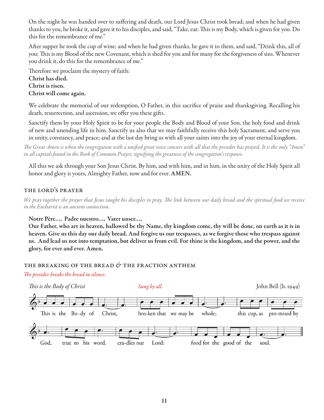On the night he was handed over to suffering and death, our Lord Jesus Christ took bread; and when he had given thanks to you, he broke it, and gave it to his disciples, and said, "Take, eat: This is my Body, which is given for you. Do this for the remembrance of me."

After supper he took the cup of wine; and when he had given thanks, he gave it to them, and said, "Drink this, all of you: This is my Blood of the new Covenant, which is shed for you and for many for the forgiveness of sins. Whenever you drink it, do this for the remembrance of me."

Therefore we proclaim the mystery of faith: Christ has died. Christ is risen. Christ will come again.

We celebrate the memorial of our redemption, O Father, in this sacrifice of praise and thanksgiving. Recalling his death, resurrection, and ascension, we offer you these gifts.

Sanctify them by your Holy Spirit to be for your people the Body and Blood of your Son, the holy food and drink of new and unending life in him. Sanctify us also that we may faithfully receive this holy Sacrament, and serve you in unity, constancy, and peace; and at the last day bring us with all your saints into the joy of your eternal kingdom.

*The Great Amen is when the congregation with a unified great voice concurs with all that the presider has prayed. It is the only "Amen" in all capitals found in the Book of Common Prayer, signifying the greatness of the congregation's response.* 

All this we ask through your Son Jesus Christ. By him, and with him, and in him, in the unity of the Holy Spirit all honor and glory is yours, Almighty Father, now and for ever. AMEN.

#### the lord's prayer

*We pray together the prayer that Jesus taught his disciples to pray. The link between our daily bread and the spiritual food we receive in the Eucharist is an ancient connection.*

Notre Père…, Padre nuestro…, Vater unser…,

Our Father, who art in heaven, hallowed be thy Name, thy kingdom come, thy will be done, on earth as it is in heaven. Give us this day our daily bread. And forgive us our trespasses, as we forgive those who trespass against us. And lead us not into temptation, but deliver us from evil. For thine is the kingdom, and the power, and the glory, for ever and ever. Amen.

#### the breaking of the bread *&* the fraction anthem

*The presider breaks the bread in silence.*

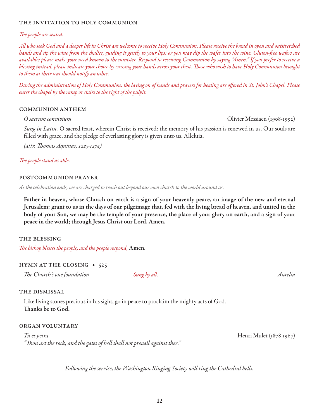#### the invitation to holy communion

#### *The people are seated.*

*All who seek God and a deeper life in Christ are welcome to receive Holy Communion. Please receive the bread in open and outstretched hands and sip the wine from the chalice, guiding it gently to your lips; or you may dip the wafer into the wine. Gluten-free wafers are available; please make your need known to the minister. Respond to receiving Communion by saying "Amen." If you prefer to receive a blessing instead, please indicate your choice by crossing your hands across your chest. Those who wish to have Holy Communion brought to them at their seat should notify an usher.* 

*During the administration of Holy Communion, the laying on of hands and prayers for healing are offered in St. John's Chapel. Please enter the chapel by the ramp or stairs to the right of the pulpit.*

#### communion anthem

*O sacrum convivium* Olivier Messiaen (1908-1992)

*Sung in Latin.* O sacred feast, wherein Christ is received: the memory of his passion is renewed in us. Our souls are filled with grace, and the pledge of everlasting glory is given unto us. Alleluia.

*(attr. Thomas Aquinas, 1225-1274)*

*The people stand as able.* 

#### postcommunion prayer

*As the celebration ends, we are charged to reach out beyond our own church to the world around us.*

Father in heaven, whose Church on earth is a sign of your heavenly peace, an image of the new and eternal Jerusalem: grant to us in the days of our pilgrimage that, fed with the living bread of heaven, and united in the body of your Son, we may be the temple of your presence, the place of your glory on earth, and a sign of your peace in the world; through Jesus Christ our Lord. Amen.

#### the blessing

*The bishop blesses the people, and the people respond,* Amen*.*

hymn at the closing • 525

the dismissal

Like living stones precious in his sight, go in peace to proclaim the mighty acts of God. Thanks be to God.

#### organ voluntary

*Tu es petra* Henri Mulet (1878-1967) *"Thou art the rock, and the gates of hell shall not prevail against thee."*

*Following the service, the Washington Ringing Society will ring the Cathedral bells.*

*The Church's one foundation Sung by all. Aurelia*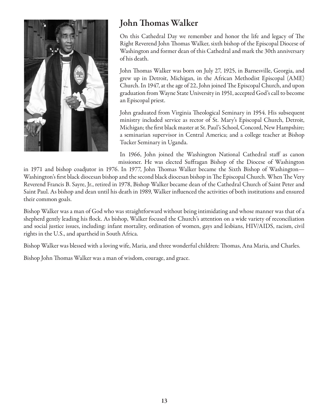

## John Thomas Walker

On this Cathedral Day we remember and honor the life and legacy of The Right Reverend John Thomas Walker, sixth bishop of the Episcopal Diocese of Washington and former dean of this Cathedral and mark the 30th anniversary of his death.

John Thomas Walker was born on July 27, 1925, in Barnesville, Georgia, and grew up in Detroit, Michigan, in the African Methodist Episcopal (AME) Church. In 1947, at the age of 22, John joined The Episcopal Church, and upon graduation from Wayne State University in 1951, accepted God's call to become an Episcopal priest.

John graduated from Virginia Theological Seminary in 1954. His subsequent ministry included service as rector of St. Mary's Episcopal Church, Detroit, Michigan; the first black master at St. Paul's School, Concord, New Hampshire; a seminarian supervisor in Central America; and a college teacher at Bishop Tucker Seminary in Uganda.

In 1966, John joined the Washington National Cathedral staff as canon missioner. He was elected Suffragan Bishop of the Diocese of Washington

in 1971 and bishop coadjutor in 1976. In 1977, John Thomas Walker became the Sixth Bishop of Washington— Washington's first black diocesan bishop and the second black diocesan bishop in The Episcopal Church. When The Very Reverend Francis B. Sayre, Jr., retired in 1978, Bishop Walker became dean of the Cathedral Church of Saint Peter and Saint Paul. As bishop and dean until his death in 1989, Walker influenced the activities of both institutions and ensured their common goals.

Bishop Walker was a man of God who was straightforward without being intimidating and whose manner was that of a shepherd gently leading his flock. As bishop, Walker focused the Church's attention on a wide variety of reconciliation and social justice issues, including: infant mortality, ordination of women, gays and lesbians, HIV/AIDS, racism, civil rights in the U.S., and apartheid in South Africa.

Bishop Walker was blessed with a loving wife, Maria, and three wonderful children: Thomas, Ana Maria, and Charles.

Bishop John Thomas Walker was a man of wisdom, courage, and grace.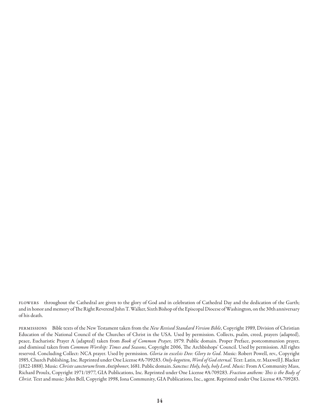FLOWERS throughout the Cathedral are given to the glory of God and in celebration of Cathedral Day and the dedication of the Garth; and in honor and memory of The Right Reverend John T. Walker, Sixth Bishop of the Episcopal Diocese of Washington, on the 30th anniversary of his death.

permissions Bible texts of the New Testament taken from the *New Revised Standard Version Bible*, Copyright 1989, Division of Christian Education of the National Council of the Churches of Christ in the USA. Used by permission. Collects, psalm, creed, prayers (adapted), peace, Eucharistic Prayer A (adapted) taken from *Book of Common Prayer,* 1979. Public domain. Proper Preface, postcommunion prayer, and dismissal taken from *Common Worship: Times and Seasons,* Copyright 2006, The Archbishops' Council. Used by permission. All rights reserved. Concluding Collect: NCA prayer. Used by permission. *Gloria in excelsis Deo: Glory to God.* Music: Robert Powell, rev., Copyright 1985, Church Publishing, Inc. Reprinted under One License #A-709283. *Only-begotten, Word of God eternal*. Text: Latin, tr. Maxwell J. Blacker (1822-1888). Music: *Christe sanctorum* from *Antiphoner*, 1681. Public domain. *Sanctus: Holy, holy, holy Lord. Music:* From A Community Mass, Richard Proulx, Copyright 1971/1977, GIA Publications, Inc. Reprinted under One License #A-709283. *Fraction anthem: This is the Body of Christ*. Text and music: John Bell, Copyright 1998, Iona Community, GIA Publications, Inc., agent. Reprinted under One License #A-709283.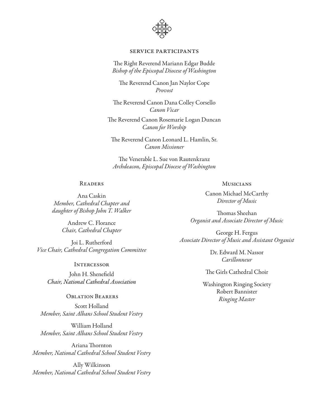

#### service participants

The Right Reverend Mariann Edgar Budde *Bishop of the Episcopal Diocese of Washington*

The Reverend Canon Jan Naylor Cope *Provost*

The Reverend Canon Dana Colley Corsello *Canon Vicar*

The Reverend Canon Rosemarie Logan Duncan *Canon for Worship*

The Reverend Canon Leonard L. Hamlin, Sr. *Canon Missioner*

The Venerable L. Sue von Rautenkranz *Archdeacon, Episcopal Diocese of Washington* 

#### **READERS**

Ana Caskin *Member, Cathedral Chapter and daughter of Bishop John T. Walker*

> Andrew C. Florance *Chair, Cathedral Chapter*

Joi L. Rutherford *Vice Chair, Cathedral Congregation Committee*

**INTERCESSOR** 

John H. Shenefield *Chair, National Cathedral Association* 

Oblation Bearers

Scott Holland *Member, Saint Albans School Student Vestry*

William Holland *Member, Saint Albans School Student Vestry*

Ariana Thornton *Member, National Cathedral School Student Vestry*

Ally Wilkinson *Member, National Cathedral School Student Vestry* **MUSICIANS** 

Canon Michael McCarthy *Director of Music*

Thomas Sheehan *Organist and Associate Director of Music* 

George H. Fergus *Associate Director of Music and Assistant Organist*

> Dr. Edward M. Nassor *Carillonneur*

The Girls Cathedral Choir

Washington Ringing Society Robert Bannister *Ringing Master*